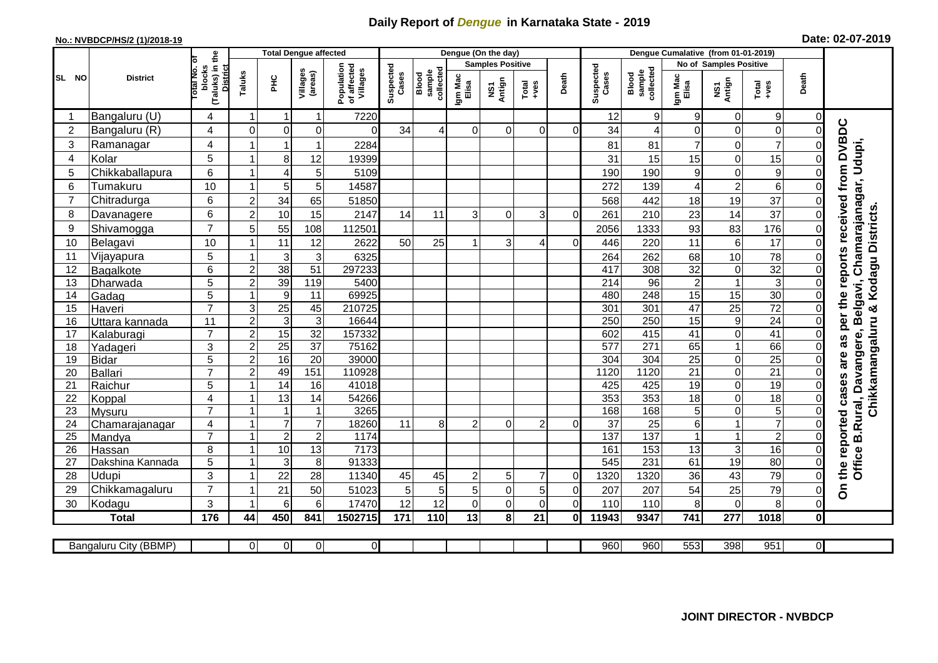## **Daily Report of** *Dengue* **in Karnataka State - 2019**

## **No.: NVBDCP/HS/2 (1)/2018-19**

|  |  | Date: 02-07-2019 |
|--|--|------------------|
|--|--|------------------|

|                |                       |                                                    | <b>Total Dengue affected</b> |                 |                     |                                       |                    |                              | Dengue (On the day) |                         |                  |                | Dengue Cumalative (from 01-01-2019) |                              |                  |                               |                  |                |                                                               |
|----------------|-----------------------|----------------------------------------------------|------------------------------|-----------------|---------------------|---------------------------------------|--------------------|------------------------------|---------------------|-------------------------|------------------|----------------|-------------------------------------|------------------------------|------------------|-------------------------------|------------------|----------------|---------------------------------------------------------------|
|                |                       | Б                                                  |                              |                 |                     |                                       |                    |                              |                     | <b>Samples Positive</b> |                  |                |                                     |                              |                  | <b>No of Samples Positive</b> |                  |                |                                                               |
| SL NO          | <b>District</b>       | (Taluks) in the<br>District<br>lotal No.<br>blocks | Taluks                       | нc              | Villages<br>(areas) | Population<br>of affected<br>Villages | Suspected<br>Cases | sample<br>collected<br>Blood | Igm Mac<br>Elisa    | NS1<br>Antign           | $Tota$<br>$+ves$ | Death          | Suspected<br>Cases                  | collected<br>sample<br>Blood | Igm Mac<br>Elisa | NS1<br>Antign                 | Total<br>+ves    | Death          |                                                               |
|                | Bangaluru (U)         | 4                                                  | $\mathbf 1$                  | -1              | 1                   | 7220                                  |                    |                              |                     |                         |                  |                | 12                                  | 9                            | 9                | $\Omega$                      | 9                | $\Omega$       |                                                               |
| $\overline{2}$ | Bangaluru (R)         | 4                                                  | $\Omega$                     | 0               | 0                   | 0                                     | 34                 | 4                            | $\Omega$            | $\Omega$                | 0                | $\Omega$       | 34                                  | 4                            | 0                | $\mathbf 0$                   | $\boldsymbol{0}$ |                | as per the reports received from DVBDC                        |
| 3              | Ramanagar             | 4                                                  |                              | 1               | 1                   | 2284                                  |                    |                              |                     |                         |                  |                | 81                                  | 81                           | $\overline{7}$   | $\mathbf 0$                   | $\overline{7}$   |                |                                                               |
| $\overline{4}$ | Kolar                 | 5                                                  | $\overline{\mathbf{A}}$      | 8               | 12                  | 19399                                 |                    |                              |                     |                         |                  |                | 31                                  | 15                           | 15               | $\overline{0}$                | 15               | 0              |                                                               |
| 5              | Chikkaballapura       | 6                                                  |                              | 4               | 5                   | 5109                                  |                    |                              |                     |                         |                  |                | 190                                 | 190                          | 9                | $\mathbf 0$                   | $\boldsymbol{9}$ |                |                                                               |
| 6              | Tumakuru              | 10                                                 |                              | 5               | 5                   | 14587                                 |                    |                              |                     |                         |                  |                | 272                                 | 139                          | 4                | $\overline{c}$                | $\,6$            |                |                                                               |
| $\overline{7}$ | Chitradurga           | 6                                                  | $\overline{2}$               | 34              | 65                  | 51850                                 |                    |                              |                     |                         |                  |                | 568                                 | 442                          | 18               | 19                            | 37               |                |                                                               |
| 8              | Davanagere            | 6                                                  | $\overline{2}$               | 10              | 15                  | 2147                                  | 14                 | 11                           | 3                   | $\Omega$                | 3                | $\Omega$       | 261                                 | 210                          | 23               | 14                            | 37               | 0              |                                                               |
| 9              | Shivamogga            | $\overline{7}$                                     | 5                            | 55              | 108                 | 112501                                |                    |                              |                     |                         |                  |                | 2056                                | 1333                         | 93               | 83                            | 176              | $\Omega$       | Chamarajanagar, Udupi,<br>Chikkamangaluru & Kodagu Districts. |
| 10             | Belagavi              | 10                                                 |                              | 11              | 12                  | 2622                                  | 50                 | 25                           |                     | 3                       | 4                | $\Omega$       | 446                                 | 220                          | 11               | $\,6\,$                       | 17               | 0              |                                                               |
| 11             | Vijayapura            | 5                                                  |                              | 3               | $\mathbf{3}$        | 6325                                  |                    |                              |                     |                         |                  |                | 264                                 | 262                          | 68               | 10                            | 78               | 0              |                                                               |
| 12             | Bagalkote             | 6                                                  | $\overline{2}$               | 38              | $\overline{51}$     | 297233                                |                    |                              |                     |                         |                  |                | 417                                 | $\overline{308}$             | $\overline{32}$  | $\overline{0}$                | 32               | 0              |                                                               |
| 13             | Dharwada              | $\overline{5}$                                     | $\overline{2}$               | 39              | 119                 | 5400                                  |                    |                              |                     |                         |                  |                | $\overline{214}$                    | 96                           | $\overline{2}$   | $\overline{1}$                | $\overline{3}$   | 0              |                                                               |
| 14             | Gadag                 | $\overline{5}$                                     | $\overline{1}$               | 9               | 11                  | 69925                                 |                    |                              |                     |                         |                  |                | 480                                 | 248                          | 15               | 15                            | 30               | 0              |                                                               |
| 15             | Haveri                | $\overline{7}$                                     | 3                            | $\overline{25}$ | 45                  | 210725                                |                    |                              |                     |                         |                  |                | 301                                 | 301                          | 47               | $\overline{25}$               | $\overline{72}$  | 0              |                                                               |
| 16             | Uttara kannada        | 11                                                 | $\overline{2}$               | $\overline{3}$  | $\overline{3}$      | 16644                                 |                    |                              |                     |                         |                  |                | 250                                 | 250                          | 15               | 9                             | 24               | 0              |                                                               |
| 17             | Kalaburagi            | $\overline{7}$                                     | $\overline{2}$               | 15              | $\overline{32}$     | 157332                                |                    |                              |                     |                         |                  |                | 602                                 | 415                          | 41               | $\mathbf 0$                   | $\overline{41}$  |                |                                                               |
| 18             | Yadageri              | 3                                                  | $\overline{2}$               | $\overline{25}$ | $\overline{37}$     | 75162                                 |                    |                              |                     |                         |                  |                | 577                                 | 271                          | 65               | $\mathbf{1}$                  | 66               | $\Omega$       |                                                               |
| 19             | <b>Bidar</b>          | $\overline{5}$                                     | $\overline{2}$               | 16              | $\overline{20}$     | 39000                                 |                    |                              |                     |                         |                  |                | 304                                 | 304                          | $\overline{25}$  | O                             | 25               | $\Omega$       | are                                                           |
| 20             | <b>Ballari</b>        | $\overline{7}$                                     | $\overline{c}$               | 49              | 151                 | 110928                                |                    |                              |                     |                         |                  |                | 1120                                | 1120                         | 21               | $\overline{0}$                | $\overline{21}$  | 0              |                                                               |
| 21             | Raichur               | 5                                                  | $\overline{ }$               | $\overline{14}$ | 16                  | 41018                                 |                    |                              |                     |                         |                  |                | 425                                 | 425                          | $\overline{19}$  | 0                             | 19               | $\Omega$       |                                                               |
| 22             | Koppal                | $\overline{\mathbf{4}}$                            |                              | 13              | $\overline{14}$     | 54266                                 |                    |                              |                     |                         |                  |                | 353                                 | 353                          | 18               | $\overline{0}$                | $\overline{18}$  | $\overline{0}$ |                                                               |
| 23             | Mysuru                | $\overline{7}$                                     |                              | $\overline{1}$  | $\mathbf{1}$        | 3265                                  |                    |                              |                     |                         |                  |                | 168                                 | 168                          | 5                | $\overline{0}$                | $\overline{5}$   | 0              |                                                               |
| 24             | Chamarajanagar        | 4                                                  |                              | $\overline{7}$  | $\overline{7}$      | 18260                                 | 11                 | 8                            | $\overline{2}$      | $\Omega$                | $\overline{2}$   | $\Omega$       | $\overline{37}$                     | $\overline{25}$              | 6                | $\mathbf{1}$                  | $\overline{7}$   | $\overline{0}$ |                                                               |
| 25             | Mandya                | $\overline{7}$                                     | $\overline{1}$               | $\overline{2}$  | $\overline{2}$      | 1174                                  |                    |                              |                     |                         |                  |                | 137                                 | 137                          | 1                | $\mathbf{1}$                  | $\overline{2}$   | 0              |                                                               |
| 26             | Hassan                | 8                                                  | $\overline{\mathbf{1}}$      | 10              | $\overline{13}$     | 7173                                  |                    |                              |                     |                         |                  |                | 161                                 | 153                          | 13               | $\mathbf{3}$                  | 16               | $\overline{0}$ |                                                               |
| 27             | Dakshina Kannada      | 5                                                  | $\mathbf{1}$                 | 3               | 8                   | 91333                                 |                    |                              |                     |                         |                  |                | 545                                 | 231                          | 61               | 19                            | $\overline{80}$  | 0              | Office B.Rural, Davangere, Belgavi,<br>the reported cases     |
| 28             | Udupi                 | 3                                                  | $\overline{\mathbf{1}}$      | 22              | 28                  | 11340                                 | 45                 | 45                           | $\overline{2}$      | 5                       | $\overline{7}$   | $\overline{0}$ | 1320                                | 1320                         | 36               | 43                            | 79               | 0              |                                                               |
| 29             | Chikkamagaluru        | $\overline{7}$                                     |                              | 21              | 50                  | 51023                                 | 5                  | 5 <sup>1</sup>               | 5                   | $\Omega$                | 5                | $\overline{0}$ | 207                                 | 207                          | 54               | 25                            | 79               | 0              | င်္                                                           |
| 30             | Kodagu                | 3                                                  |                              | 6               | 6                   | 17470                                 | 12                 | 12                           | $\Omega$            | $\Omega$                | $\Omega$         | $\overline{O}$ | 110                                 | 110                          | 8                | $\Omega$                      | 8                | $\Omega$       |                                                               |
|                | <b>Total</b>          | 176                                                | 44                           | 450             | 841                 | 1502715                               | 171                | $\frac{110}{110}$            | 13                  | 8                       | 21               | 0l             | 11943                               | 9347                         | 741              | 277                           | $\frac{1}{1018}$ | 0              |                                                               |
|                | Bangaluru City (BBMP) |                                                    | $\Omega$                     | $\overline{0}$  | 0                   | $\overline{0}$                        |                    |                              |                     |                         |                  |                | 960                                 | 960                          | 553              | 398                           | 951              | οI             |                                                               |